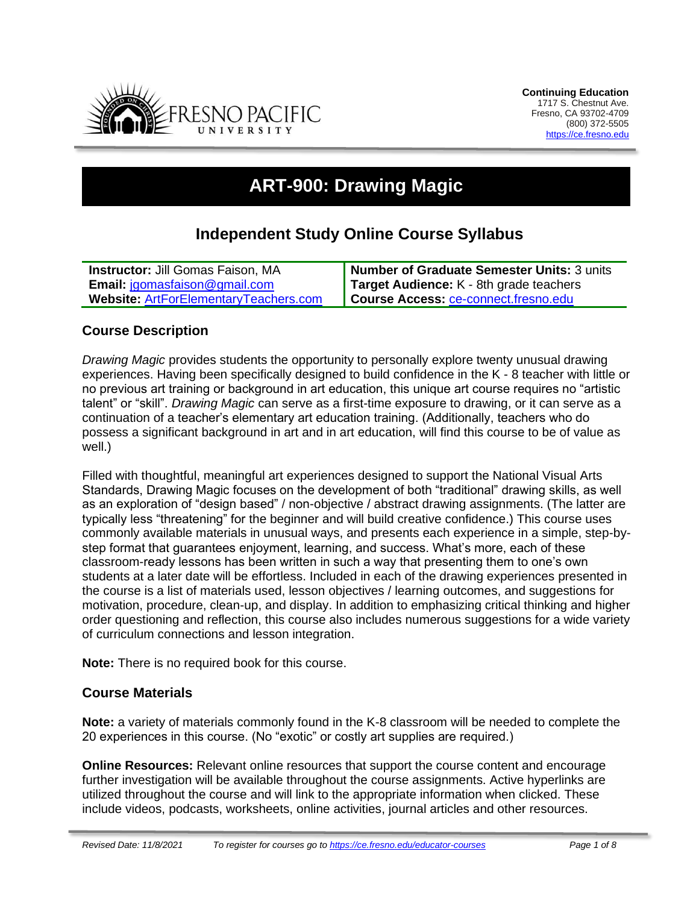

# **ART-900: Drawing Magic**

# **Independent Study Online Course Syllabus**

| <b>Instructor: Jill Gomas Faison, MA</b>     | <b>Number of Graduate Semester Units: 3 units</b> |
|----------------------------------------------|---------------------------------------------------|
| <b>Email:</b> jgomasfaison@gmail.com         | Target Audience: K - 8th grade teachers           |
| <b>Website: ArtForElementaryTeachers.com</b> | Course Access: ce-connect.fresno.edu              |

# **Course Description**

*Drawing Magic* provides students the opportunity to personally explore twenty unusual drawing experiences. Having been specifically designed to build confidence in the K - 8 teacher with little or no previous art training or background in art education, this unique art course requires no "artistic talent" or "skill". *Drawing Magic* can serve as a first-time exposure to drawing, or it can serve as a continuation of a teacher's elementary art education training. (Additionally, teachers who do possess a significant background in art and in art education, will find this course to be of value as well.)

Filled with thoughtful, meaningful art experiences designed to support the National Visual Arts Standards, Drawing Magic focuses on the development of both "traditional" drawing skills, as well as an exploration of "design based" / non-objective / abstract drawing assignments. (The latter are typically less "threatening" for the beginner and will build creative confidence.) This course uses commonly available materials in unusual ways, and presents each experience in a simple, step-bystep format that guarantees enjoyment, learning, and success. What's more, each of these classroom-ready lessons has been written in such a way that presenting them to one's own students at a later date will be effortless. Included in each of the drawing experiences presented in the course is a list of materials used, lesson objectives / learning outcomes, and suggestions for motivation, procedure, clean-up, and display. In addition to emphasizing critical thinking and higher order questioning and reflection, this course also includes numerous suggestions for a wide variety of curriculum connections and lesson integration.

**Note:** There is no required book for this course.

# **Course Materials**

**Note:** a variety of materials commonly found in the K-8 classroom will be needed to complete the 20 experiences in this course. (No "exotic" or costly art supplies are required.)

**Online Resources:** Relevant online resources that support the course content and encourage further investigation will be available throughout the course assignments. Active hyperlinks are utilized throughout the course and will link to the appropriate information when clicked. These include videos, podcasts, worksheets, online activities, journal articles and other resources.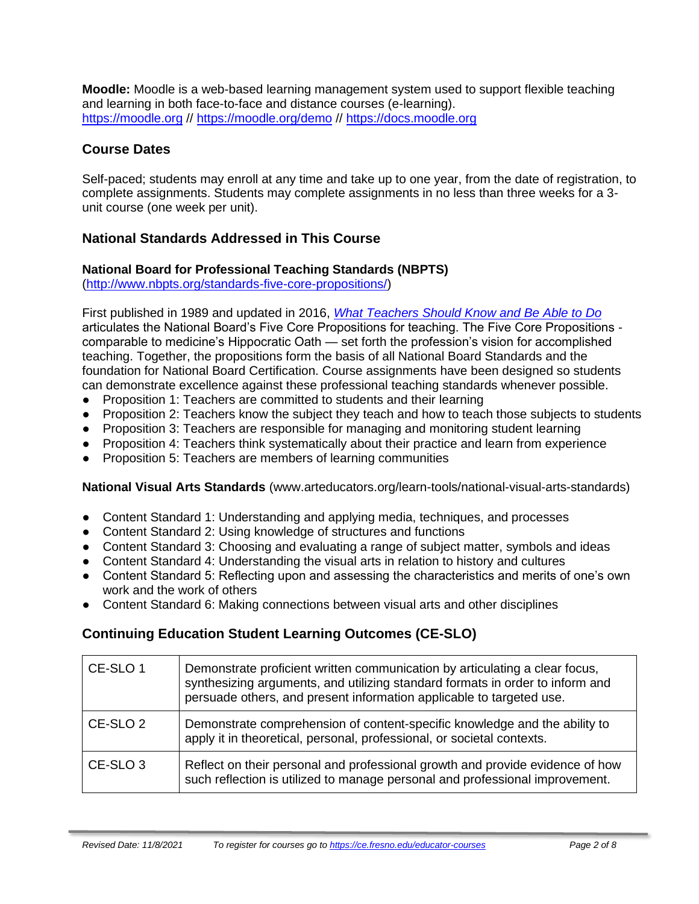**Moodle:** Moodle is a web-based learning management system used to support flexible teaching and learning in both face-to-face and distance courses (e-learning). [https://moodle.org](https://moodle.org/) //<https://moodle.org/demo> // [https://docs.moodle.org](https://docs.moodle.org/)

# **Course Dates**

Self-paced; students may enroll at any time and take up to one year, from the date of registration, to complete assignments. Students may complete assignments in no less than three weeks for a 3 unit course (one week per unit).

# **National Standards Addressed in This Course**

#### **National Board for Professional Teaching Standards (NBPTS)**

[\(http://www.nbpts.org/standards-five-core-propositions/\)](http://www.nbpts.org/standards-five-core-propositions/)

First published in 1989 and updated in 2016, *[What Teachers Should Know and Be Able to Do](http://www.accomplishedteacher.org/)* articulates the National Board's Five Core Propositions for teaching. The Five Core Propositions comparable to medicine's Hippocratic Oath — set forth the profession's vision for accomplished teaching. Together, the propositions form the basis of all National Board Standards and the foundation for National Board Certification. Course assignments have been designed so students can demonstrate excellence against these professional teaching standards whenever possible.

- Proposition 1: Teachers are committed to students and their learning
- Proposition 2: Teachers know the subject they teach and how to teach those subjects to students
- Proposition 3: Teachers are responsible for managing and monitoring student learning
- Proposition 4: Teachers think systematically about their practice and learn from experience
- Proposition 5: Teachers are members of learning communities

**National Visual Arts Standards** (www.arteducators.org/learn-tools/national-visual-arts-standards)

- Content Standard 1: Understanding and applying media, techniques, and processes
- Content Standard 2: Using knowledge of structures and functions
- Content Standard 3: Choosing and evaluating a range of subject matter, symbols and ideas
- Content Standard 4: Understanding the visual arts in relation to history and cultures
- Content Standard 5: Reflecting upon and assessing the characteristics and merits of one's own work and the work of others
- Content Standard 6: Making connections between visual arts and other disciplines

# **Continuing Education Student Learning Outcomes (CE-SLO)**

| CE-SLO 1            | Demonstrate proficient written communication by articulating a clear focus,<br>synthesizing arguments, and utilizing standard formats in order to inform and<br>persuade others, and present information applicable to targeted use. |
|---------------------|--------------------------------------------------------------------------------------------------------------------------------------------------------------------------------------------------------------------------------------|
| CE-SLO <sub>2</sub> | Demonstrate comprehension of content-specific knowledge and the ability to<br>apply it in theoretical, personal, professional, or societal contexts.                                                                                 |
| CE-SLO <sub>3</sub> | Reflect on their personal and professional growth and provide evidence of how<br>such reflection is utilized to manage personal and professional improvement.                                                                        |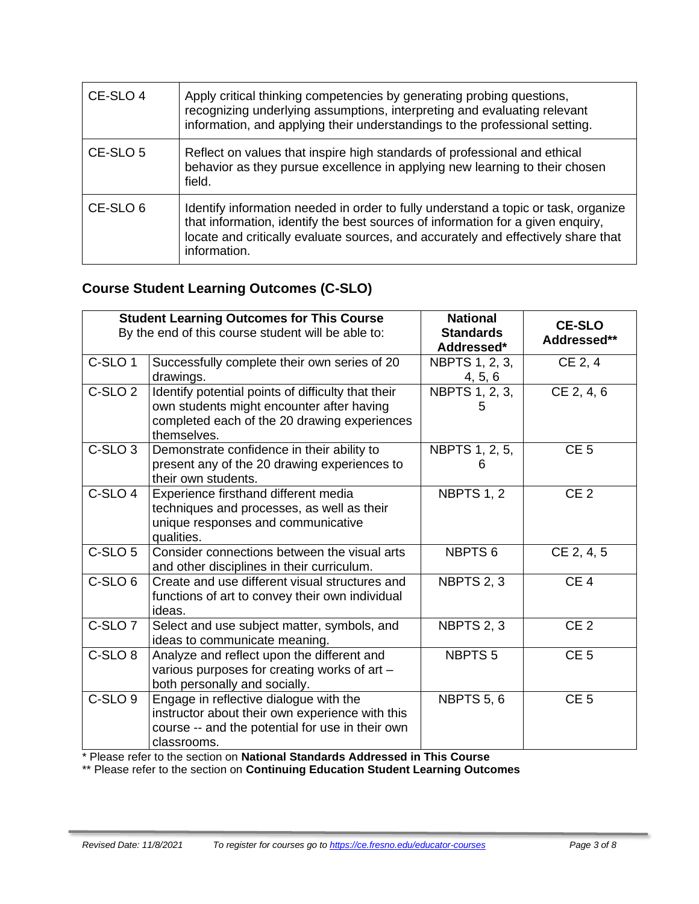| CE-SLO 4            | Apply critical thinking competencies by generating probing questions,<br>recognizing underlying assumptions, interpreting and evaluating relevant<br>information, and applying their understandings to the professional setting.                                           |
|---------------------|----------------------------------------------------------------------------------------------------------------------------------------------------------------------------------------------------------------------------------------------------------------------------|
| CE-SLO 5            | Reflect on values that inspire high standards of professional and ethical<br>behavior as they pursue excellence in applying new learning to their chosen<br>field.                                                                                                         |
| CE-SLO <sub>6</sub> | Identify information needed in order to fully understand a topic or task, organize<br>that information, identify the best sources of information for a given enquiry,<br>locate and critically evaluate sources, and accurately and effectively share that<br>information. |

# **Course Student Learning Outcomes (C-SLO)**

|                    | <b>Student Learning Outcomes for This Course</b><br>By the end of this course student will be able to:                                                         | <b>National</b><br><b>Standards</b><br>Addressed* | <b>CE-SLO</b><br>Addressed** |
|--------------------|----------------------------------------------------------------------------------------------------------------------------------------------------------------|---------------------------------------------------|------------------------------|
| C-SLO <sub>1</sub> | Successfully complete their own series of 20<br>drawings.                                                                                                      | NBPTS 1, 2, 3,<br>4, 5, 6                         | CE 2, 4                      |
| C-SLO <sub>2</sub> | Identify potential points of difficulty that their<br>own students might encounter after having<br>completed each of the 20 drawing experiences<br>themselves. | NBPTS 1, 2, 3,                                    | CE 2, 4, 6                   |
| C-SLO <sub>3</sub> | Demonstrate confidence in their ability to<br>present any of the 20 drawing experiences to<br>their own students.                                              | NBPTS 1, 2, 5,<br>h                               | CE <sub>5</sub>              |
| C-SLO <sub>4</sub> | Experience firsthand different media<br>techniques and processes, as well as their<br>unique responses and communicative<br>qualities.                         | NBPTS 1, 2                                        | CE <sub>2</sub>              |
| $C-SLO5$           | Consider connections between the visual arts<br>and other disciplines in their curriculum.                                                                     | NBPTS <sub>6</sub>                                | CE 2, 4, 5                   |
| C-SLO <sub>6</sub> | Create and use different visual structures and<br>functions of art to convey their own individual<br>ideas.                                                    | NBPTS 2, 3                                        | CE <sub>4</sub>              |
| C-SLO <sub>7</sub> | Select and use subject matter, symbols, and<br>ideas to communicate meaning.                                                                                   | NBPTS 2, 3                                        | CE <sub>2</sub>              |
| C-SLO <sub>8</sub> | Analyze and reflect upon the different and<br>various purposes for creating works of art -<br>both personally and socially.                                    | NBPTS <sub>5</sub>                                | CE <sub>5</sub>              |
| C-SLO <sub>9</sub> | Engage in reflective dialogue with the<br>instructor about their own experience with this<br>course -- and the potential for use in their own<br>classrooms.   | <b>NBPTS 5, 6</b>                                 | CE <sub>5</sub>              |

\* Please refer to the section on **National Standards Addressed in This Course**

\*\* Please refer to the section on **Continuing Education Student Learning Outcomes**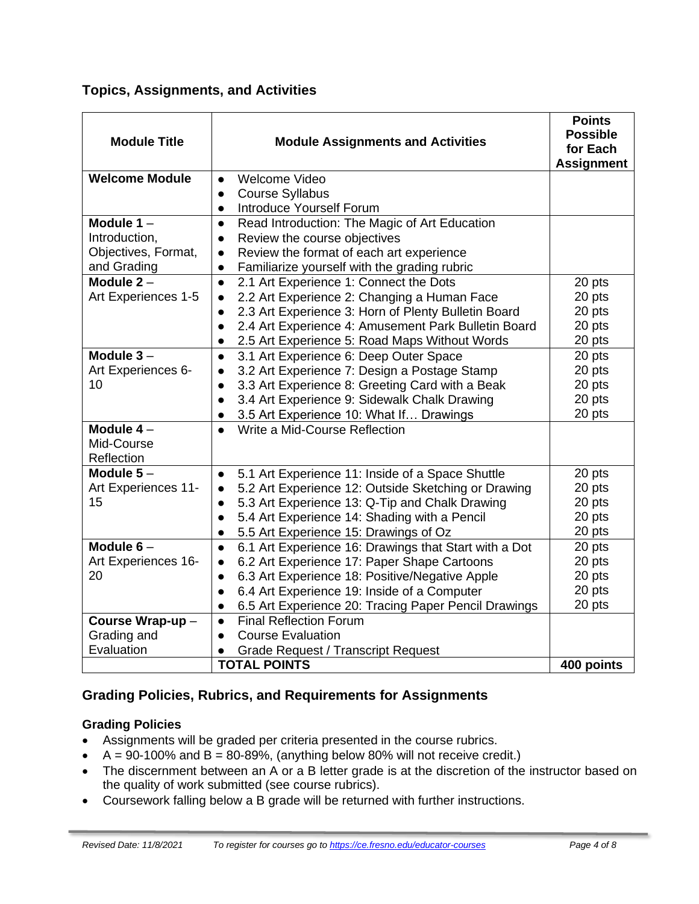**Topics, Assignments, and Activities**

| <b>Module Title</b>   | <b>Module Assignments and Activities</b>                           | <b>Points</b><br><b>Possible</b><br>for Each<br><b>Assignment</b> |
|-----------------------|--------------------------------------------------------------------|-------------------------------------------------------------------|
| <b>Welcome Module</b> | Welcome Video<br>$\bullet$                                         |                                                                   |
|                       | <b>Course Syllabus</b><br>$\bullet$                                |                                                                   |
|                       | <b>Introduce Yourself Forum</b><br>$\bullet$                       |                                                                   |
| Module $1 -$          | Read Introduction: The Magic of Art Education<br>$\bullet$         |                                                                   |
| Introduction,         | Review the course objectives<br>$\bullet$                          |                                                                   |
| Objectives, Format,   | Review the format of each art experience                           |                                                                   |
| and Grading           | Familiarize yourself with the grading rubric<br>$\bullet$          |                                                                   |
| Module $2 -$          | 2.1 Art Experience 1: Connect the Dots<br>$\bullet$                | 20 pts                                                            |
| Art Experiences 1-5   | 2.2 Art Experience 2: Changing a Human Face                        | 20 pts                                                            |
|                       | 2.3 Art Experience 3: Horn of Plenty Bulletin Board                | 20 pts                                                            |
|                       | 2.4 Art Experience 4: Amusement Park Bulletin Board<br>$\bullet$   | 20 pts                                                            |
|                       | 2.5 Art Experience 5: Road Maps Without Words<br>$\bullet$         | 20 pts                                                            |
| Module $3 -$          | 3.1 Art Experience 6: Deep Outer Space<br>$\bullet$                | 20 pts                                                            |
| Art Experiences 6-    | 3.2 Art Experience 7: Design a Postage Stamp<br>$\bullet$          | 20 pts                                                            |
| 10                    | 3.3 Art Experience 8: Greeting Card with a Beak<br>$\bullet$       | 20 pts                                                            |
|                       | 3.4 Art Experience 9: Sidewalk Chalk Drawing<br>$\bullet$          | 20 pts                                                            |
|                       | 3.5 Art Experience 10: What If Drawings<br>$\bullet$               | 20 pts                                                            |
| Module $4-$           | Write a Mid-Course Reflection<br>$\bullet$                         |                                                                   |
| Mid-Course            |                                                                    |                                                                   |
| Reflection            |                                                                    |                                                                   |
| Module $5-$           | 5.1 Art Experience 11: Inside of a Space Shuttle<br>$\bullet$      | 20 pts                                                            |
| Art Experiences 11-   | 5.2 Art Experience 12: Outside Sketching or Drawing<br>$\bullet$   | 20 pts                                                            |
| 15                    | 5.3 Art Experience 13: Q-Tip and Chalk Drawing<br>$\bullet$        | 20 pts                                                            |
|                       | 5.4 Art Experience 14: Shading with a Pencil                       | 20 pts                                                            |
|                       | 5.5 Art Experience 15: Drawings of Oz<br>$\bullet$                 | 20 pts                                                            |
| Module $6-$           | 6.1 Art Experience 16: Drawings that Start with a Dot<br>$\bullet$ | 20 pts                                                            |
| Art Experiences 16-   | 6.2 Art Experience 17: Paper Shape Cartoons<br>$\bullet$           | 20 pts                                                            |
| 20                    | 6.3 Art Experience 18: Positive/Negative Apple<br>$\bullet$        | 20 pts                                                            |
|                       | 6.4 Art Experience 19: Inside of a Computer<br>$\bullet$           | 20 pts                                                            |
|                       | 6.5 Art Experience 20: Tracing Paper Pencil Drawings<br>$\bullet$  | 20 pts                                                            |
| Course Wrap-up-       | <b>Final Reflection Forum</b><br>$\bullet$                         |                                                                   |
| Grading and           | <b>Course Evaluation</b><br>$\bullet$                              |                                                                   |
| Evaluation            | <b>Grade Request / Transcript Request</b>                          |                                                                   |
|                       | <b>TOTAL POINTS</b>                                                | 400 points                                                        |

# **Grading Policies, Rubrics, and Requirements for Assignments**

# **Grading Policies**

- Assignments will be graded per criteria presented in the course rubrics.
- $A = 90-100\%$  and  $B = 80-89\%$ , (anything below 80% will not receive credit.)
- The discernment between an A or a B letter grade is at the discretion of the instructor based on the quality of work submitted (see course rubrics).
- Coursework falling below a B grade will be returned with further instructions.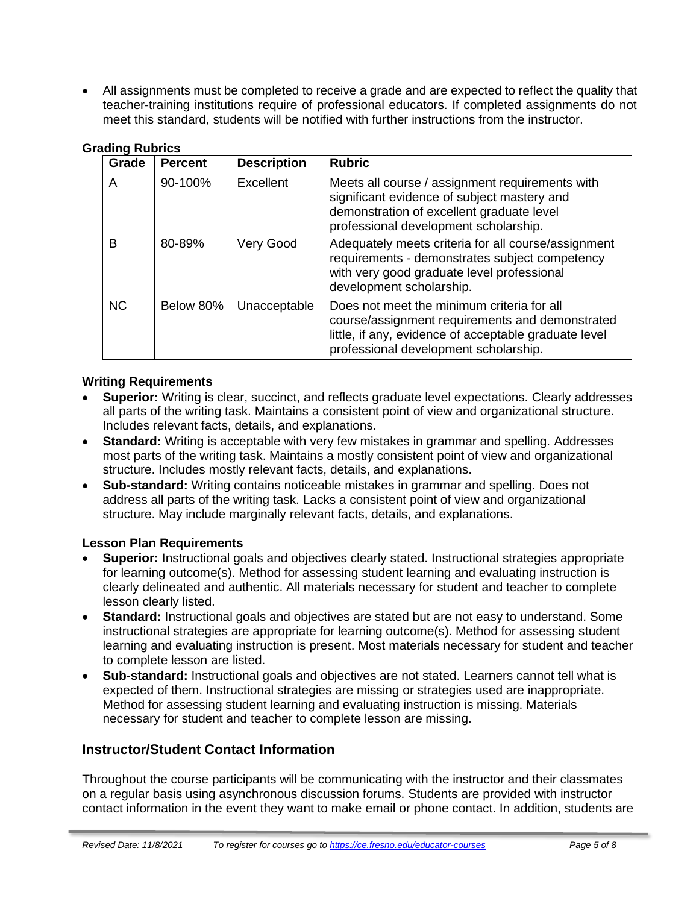• All assignments must be completed to receive a grade and are expected to reflect the quality that teacher-training institutions require of professional educators. If completed assignments do not meet this standard, students will be notified with further instructions from the instructor.

| Grade     | <b>Percent</b> | <b>Description</b> | <b>Rubric</b>                                                                                                                                                                                   |
|-----------|----------------|--------------------|-------------------------------------------------------------------------------------------------------------------------------------------------------------------------------------------------|
| A         | 90-100%        | Excellent          | Meets all course / assignment requirements with<br>significant evidence of subject mastery and<br>demonstration of excellent graduate level<br>professional development scholarship.            |
| B         | 80-89%         | Very Good          | Adequately meets criteria for all course/assignment<br>requirements - demonstrates subject competency<br>with very good graduate level professional<br>development scholarship.                 |
| <b>NC</b> | Below 80%      | Unacceptable       | Does not meet the minimum criteria for all<br>course/assignment requirements and demonstrated<br>little, if any, evidence of acceptable graduate level<br>professional development scholarship. |

#### **Grading Rubrics**

#### **Writing Requirements**

- **Superior:** Writing is clear, succinct, and reflects graduate level expectations. Clearly addresses all parts of the writing task. Maintains a consistent point of view and organizational structure. Includes relevant facts, details, and explanations.
- **Standard:** Writing is acceptable with very few mistakes in grammar and spelling. Addresses most parts of the writing task. Maintains a mostly consistent point of view and organizational structure. Includes mostly relevant facts, details, and explanations.
- **Sub-standard:** Writing contains noticeable mistakes in grammar and spelling. Does not address all parts of the writing task. Lacks a consistent point of view and organizational structure. May include marginally relevant facts, details, and explanations.

#### **Lesson Plan Requirements**

- **Superior:** Instructional goals and objectives clearly stated. Instructional strategies appropriate for learning outcome(s). Method for assessing student learning and evaluating instruction is clearly delineated and authentic. All materials necessary for student and teacher to complete lesson clearly listed.
- **Standard:** Instructional goals and objectives are stated but are not easy to understand. Some instructional strategies are appropriate for learning outcome(s). Method for assessing student learning and evaluating instruction is present. Most materials necessary for student and teacher to complete lesson are listed.
- **Sub-standard:** Instructional goals and objectives are not stated. Learners cannot tell what is expected of them. Instructional strategies are missing or strategies used are inappropriate. Method for assessing student learning and evaluating instruction is missing. Materials necessary for student and teacher to complete lesson are missing.

# **Instructor/Student Contact Information**

Throughout the course participants will be communicating with the instructor and their classmates on a regular basis using asynchronous discussion forums. Students are provided with instructor contact information in the event they want to make email or phone contact. In addition, students are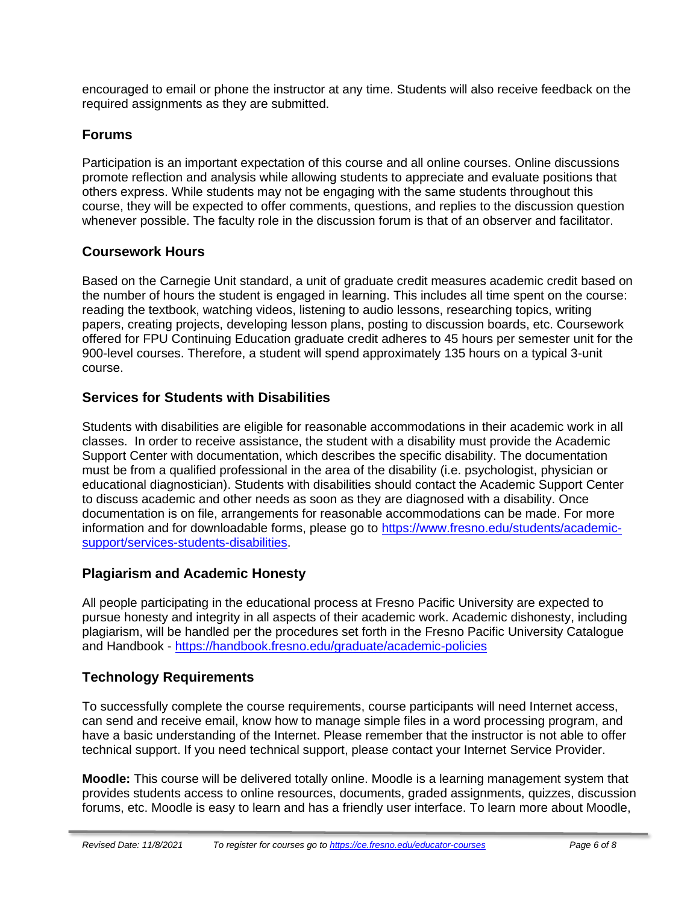encouraged to email or phone the instructor at any time. Students will also receive feedback on the required assignments as they are submitted.

# **Forums**

Participation is an important expectation of this course and all online courses. Online discussions promote reflection and analysis while allowing students to appreciate and evaluate positions that others express. While students may not be engaging with the same students throughout this course, they will be expected to offer comments, questions, and replies to the discussion question whenever possible. The faculty role in the discussion forum is that of an observer and facilitator.

# **Coursework Hours**

Based on the Carnegie Unit standard, a unit of graduate credit measures academic credit based on the number of hours the student is engaged in learning. This includes all time spent on the course: reading the textbook, watching videos, listening to audio lessons, researching topics, writing papers, creating projects, developing lesson plans, posting to discussion boards, etc. Coursework offered for FPU Continuing Education graduate credit adheres to 45 hours per semester unit for the 900-level courses. Therefore, a student will spend approximately 135 hours on a typical 3-unit course.

# **Services for Students with Disabilities**

Students with disabilities are eligible for reasonable accommodations in their academic work in all classes. In order to receive assistance, the student with a disability must provide the Academic Support Center with documentation, which describes the specific disability. The documentation must be from a qualified professional in the area of the disability (i.e. psychologist, physician or educational diagnostician). Students with disabilities should contact the Academic Support Center to discuss academic and other needs as soon as they are diagnosed with a disability. Once documentation is on file, arrangements for reasonable accommodations can be made. For more information and for downloadable forms, please go to [https://www.fresno.edu/students/academic](https://www.fresno.edu/students/academic-support/services-students-disabilities)[support/services-students-disabilities.](https://www.fresno.edu/students/academic-support/services-students-disabilities)

# **Plagiarism and Academic Honesty**

All people participating in the educational process at Fresno Pacific University are expected to pursue honesty and integrity in all aspects of their academic work. Academic dishonesty, including plagiarism, will be handled per the procedures set forth in the Fresno Pacific University Catalogue and Handbook - <https://handbook.fresno.edu/graduate/academic-policies>

# **Technology Requirements**

To successfully complete the course requirements, course participants will need Internet access, can send and receive email, know how to manage simple files in a word processing program, and have a basic understanding of the Internet. Please remember that the instructor is not able to offer technical support. If you need technical support, please contact your Internet Service Provider.

**Moodle:** This course will be delivered totally online. Moodle is a learning management system that provides students access to online resources, documents, graded assignments, quizzes, discussion forums, etc. Moodle is easy to learn and has a friendly user interface. To learn more about Moodle,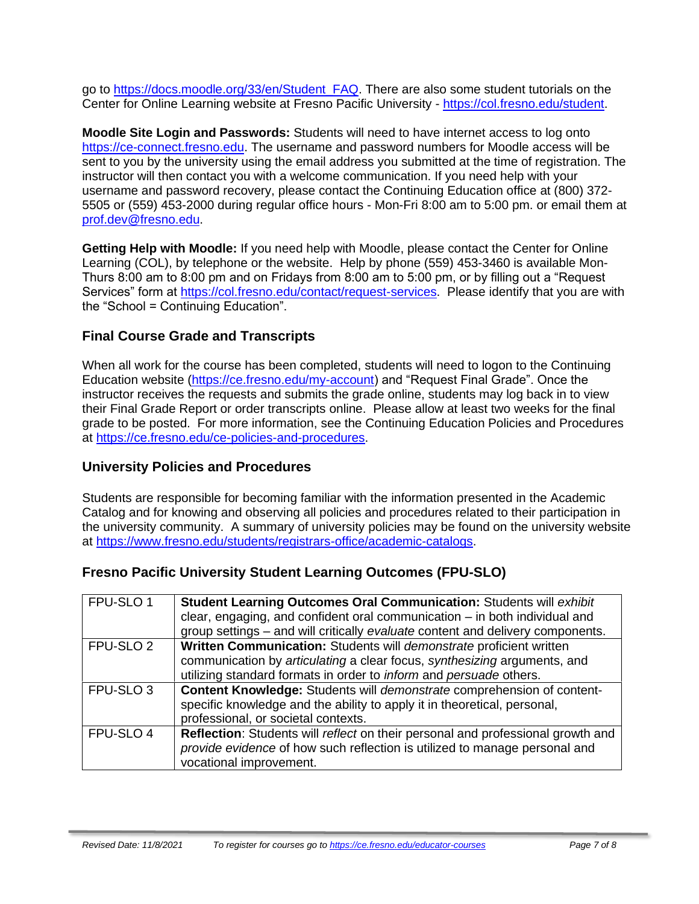go to [https://docs.moodle.org/33/en/Student\\_FAQ.](https://docs.moodle.org/33/en/Student_FAQ) There are also some student tutorials on the Center for Online Learning website at Fresno Pacific University - [https://col.fresno.edu/student.](https://col.fresno.edu/student)

**Moodle Site Login and Passwords:** Students will need to have internet access to log onto [https://ce-connect.fresno.edu.](https://ce-connect.fresno.edu/) The username and password numbers for Moodle access will be sent to you by the university using the email address you submitted at the time of registration. The instructor will then contact you with a welcome communication. If you need help with your username and password recovery, please contact the Continuing Education office at (800) 372- 5505 or (559) 453-2000 during regular office hours - Mon-Fri 8:00 am to 5:00 pm. or email them at [prof.dev@fresno.edu.](mailto:prof.dev@fresno.edu)

**Getting Help with Moodle:** If you need help with Moodle, please contact the Center for Online Learning (COL), by telephone or the website. Help by phone (559) 453-3460 is available Mon-Thurs 8:00 am to 8:00 pm and on Fridays from 8:00 am to 5:00 pm, or by filling out a "Request Services" form at [https://col.fresno.edu/contact/request-services.](https://col.fresno.edu/contact/request-services) Please identify that you are with the "School = Continuing Education".

# **Final Course Grade and Transcripts**

When all work for the course has been completed, students will need to logon to the Continuing Education website [\(https://ce.fresno.edu/my-account\)](https://ce.fresno.edu/my-account) and "Request Final Grade". Once the instructor receives the requests and submits the grade online, students may log back in to view their Final Grade Report or order transcripts online. Please allow at least two weeks for the final grade to be posted. For more information, see the Continuing Education Policies and Procedures at [https://ce.fresno.edu/ce-policies-and-procedures.](https://ce.fresno.edu/ce-policies-and-procedures)

# **University Policies and Procedures**

Students are responsible for becoming familiar with the information presented in the Academic Catalog and for knowing and observing all policies and procedures related to their participation in the university community. A summary of university policies may be found on the university website at [https://www.fresno.edu/students/registrars-office/academic-catalogs.](https://www.fresno.edu/students/registrars-office/academic-catalogs)

# **Fresno Pacific University Student Learning Outcomes (FPU-SLO)**

| FPU-SLO 1            | Student Learning Outcomes Oral Communication: Students will exhibit<br>clear, engaging, and confident oral communication $-$ in both individual and<br>group settings - and will critically evaluate content and delivery components. |
|----------------------|---------------------------------------------------------------------------------------------------------------------------------------------------------------------------------------------------------------------------------------|
| FPU-SLO <sub>2</sub> | Written Communication: Students will demonstrate proficient written<br>communication by articulating a clear focus, synthesizing arguments, and<br>utilizing standard formats in order to <i>inform</i> and <i>persuade</i> others.   |
| FPU-SLO <sub>3</sub> | Content Knowledge: Students will demonstrate comprehension of content-<br>specific knowledge and the ability to apply it in theoretical, personal,<br>professional, or societal contexts.                                             |
| FPU-SLO 4            | Reflection: Students will reflect on their personal and professional growth and<br>provide evidence of how such reflection is utilized to manage personal and<br>vocational improvement.                                              |